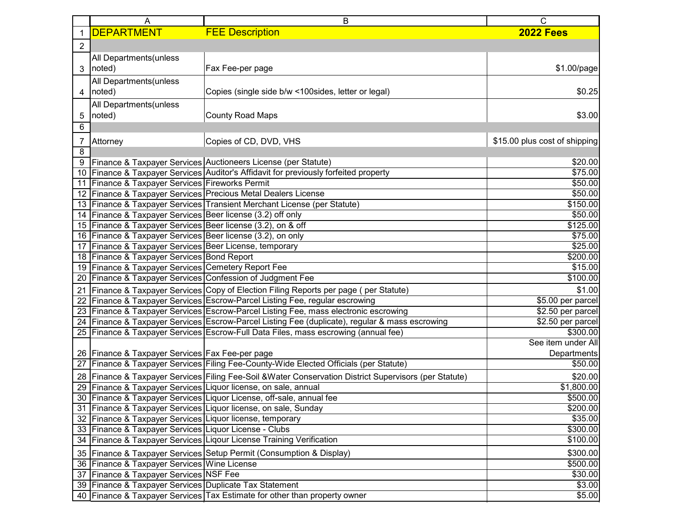|                  | A                                                           | B                                                                                                      | $\mathsf{C}$                  |
|------------------|-------------------------------------------------------------|--------------------------------------------------------------------------------------------------------|-------------------------------|
| $\mathbf{1}$     | <b>DEPARTMENT</b>                                           | <b>FEE Description</b>                                                                                 | <b>2022 Fees</b>              |
| $\boldsymbol{2}$ |                                                             |                                                                                                        |                               |
|                  | All Departments (unless                                     |                                                                                                        |                               |
| 3                | noted)                                                      | Fax Fee-per page                                                                                       | \$1.00/page                   |
|                  | All Departments (unless                                     |                                                                                                        |                               |
|                  | noted)                                                      | Copies (single side b/w <100 sides, letter or legal)                                                   | \$0.25                        |
| 4                |                                                             |                                                                                                        |                               |
|                  | All Departments (unless                                     |                                                                                                        |                               |
| 5                | noted)                                                      | <b>County Road Maps</b>                                                                                | \$3.00                        |
| 6                |                                                             |                                                                                                        |                               |
| $\overline{7}$   | Attorney                                                    | Copies of CD, DVD, VHS                                                                                 | \$15.00 plus cost of shipping |
| 8                |                                                             |                                                                                                        |                               |
| 9                |                                                             | Finance & Taxpayer Services Auctioneers License (per Statute)                                          | \$20.00                       |
|                  |                                                             | 10   Finance & Taxpayer Services   Auditor's Affidavit for previously forfeited property               | \$75.00                       |
|                  | 11   Finance & Taxpayer Services   Fireworks Permit         |                                                                                                        | \$50.00                       |
|                  |                                                             | 12 Finance & Taxpayer Services Precious Metal Dealers License                                          | \$50.00                       |
|                  |                                                             | 13 Finance & Taxpayer Services Transient Merchant License (per Statute)                                | \$150.00                      |
|                  | 14 Finance & Taxpayer Services Beer license (3.2) off only  |                                                                                                        | \$50.00                       |
|                  | 15 Finance & Taxpayer Services Beer license (3.2), on & off |                                                                                                        | \$125.00                      |
|                  | 16 Finance & Taxpayer Services Beer license (3.2), on only  |                                                                                                        | \$75.00                       |
|                  | 17   Finance & Taxpayer Services   Beer License, temporary  |                                                                                                        | \$25.00                       |
|                  | 18 Finance & Taxpayer Services Bond Report                  |                                                                                                        | \$200.00                      |
|                  | 19 Finance & Taxpayer Services Cemetery Report Fee          |                                                                                                        | \$15.00                       |
| 20               | Finance & Taxpayer Services Confession of Judgment Fee      |                                                                                                        | \$100.00                      |
|                  |                                                             | 21 Finance & Taxpayer Services Copy of Election Filing Reports per page (per Statute)                  | \$1.00                        |
|                  |                                                             | 22 Finance & Taxpayer Services Escrow-Parcel Listing Fee, regular escrowing                            | \$5.00 per parcel             |
|                  |                                                             | 23 Finance & Taxpayer Services Escrow-Parcel Listing Fee, mass electronic escrowing                    | \$2.50 per parcel             |
|                  |                                                             | 24 Finance & Taxpayer Services Escrow-Parcel Listing Fee (duplicate), regular & mass escrowing         | \$2.50 per parcel             |
|                  |                                                             | 25   Finance & Taxpayer Services   Escrow-Full Data Files, mass escrowing (annual fee)                 | \$300.00                      |
|                  |                                                             |                                                                                                        | See item under All            |
|                  | 26 Finance & Taxpayer Services Fax Fee-per page             |                                                                                                        | Departments                   |
| 27               |                                                             | Finance & Taxpayer Services Filing Fee-County-Wide Elected Officials (per Statute)                     | \$50.00                       |
|                  |                                                             | 28 Finance & Taxpayer Services Filing Fee-Soil & Water Conservation District Supervisors (per Statute) | \$20.00                       |
|                  |                                                             | 29 Finance & Taxpayer Services Liquor license, on sale, annual                                         | \$1,800.00                    |
|                  |                                                             | 30 Finance & Taxpayer Services Liquor License, off-sale, annual fee                                    | \$500.00                      |
|                  |                                                             | 31 Finance & Taxpayer Services Liquor license, on sale, Sunday                                         | \$200.00                      |
|                  | 32 Finance & Taxpayer Services Liquor license, temporary    |                                                                                                        | \$35.00                       |
|                  | 33 Finance & Taxpayer Services Liquor License - Clubs       |                                                                                                        | \$300.00                      |
|                  |                                                             | 34 Finance & Taxpayer Services Ligour License Training Verification                                    | \$100.00                      |
|                  |                                                             | 35 Finance & Taxpayer Services Setup Permit (Consumption & Display)                                    | \$300.00                      |
|                  | 36   Finance & Taxpayer Services   Wine License             |                                                                                                        | \$500.00                      |
|                  | 37 Finance & Taxpayer Services NSF Fee                      |                                                                                                        | \$30.00                       |
|                  | 39 Finance & Taxpayer Services Duplicate Tax Statement      |                                                                                                        | \$3.00                        |
|                  |                                                             | 40 Finance & Taxpayer Services Tax Estimate for other than property owner                              | \$5.00                        |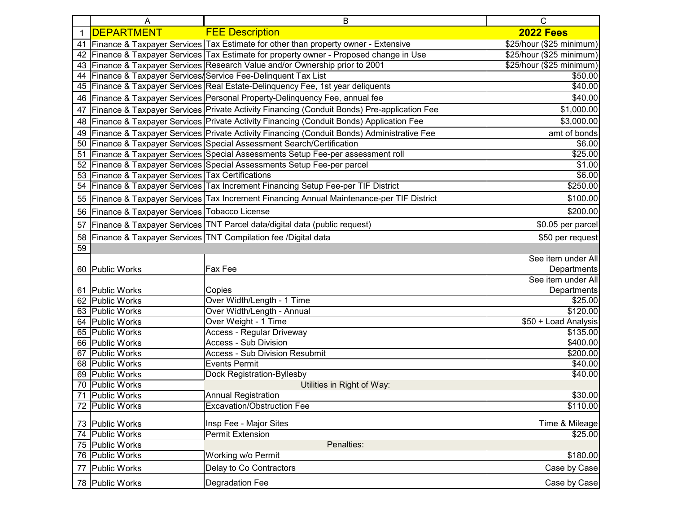|          | A                                              | B                                                                                          | С                        |
|----------|------------------------------------------------|--------------------------------------------------------------------------------------------|--------------------------|
|          | <b>DEPARTMENT</b>                              | <b>FEE Description</b>                                                                     | <b>2022 Fees</b>         |
| 41       |                                                | Finance & Taxpayer Services Tax Estimate for other than property owner - Extensive         | \$25/hour (\$25 minimum) |
| 42       |                                                | Finance & Taxpayer Services Tax Estimate for property owner - Proposed change in Use       | \$25/hour (\$25 minimum) |
| 43       |                                                | Finance & Taxpayer Services Research Value and/or Ownership prior to 2001                  | \$25/hour (\$25 minimum) |
| 44       |                                                | Finance & Taxpayer Services/Service Fee-Delinquent Tax List                                | \$50.00                  |
| 45       |                                                | Finance & Taxpayer Services Real Estate-Delinquency Fee, 1st year deliquents               | \$40.00                  |
| 46       |                                                | Finance & Taxpayer Services Personal Property-Delinquency Fee, annual fee                  | \$40.00                  |
| 47       |                                                | Finance & Taxpayer Services Private Activity Financing (Conduit Bonds) Pre-application Fee | \$1,000.00               |
| 48       |                                                | Finance & Taxpayer Services Private Activity Financing (Conduit Bonds) Application Fee     | \$3,000.00               |
| 49       |                                                | Finance & Taxpayer Services Private Activity Financing (Conduit Bonds) Administrative Fee  | amt of bonds             |
| 50       |                                                | Finance & Taxpayer Services Special Assessment Search/Certification                        | \$6.00                   |
| 51       |                                                | Finance & Taxpayer Services Special Assessments Setup Fee-per assessment roll              | \$25.00                  |
| 52       |                                                | Finance & Taxpayer Services Special Assessments Setup Fee-per parcel                       | \$1.00                   |
| 53       | Finance & Taxpayer Services Tax Certifications |                                                                                            | \$6.00                   |
| 54       |                                                | Finance & Taxpayer Services Tax Increment Financing Setup Fee-per TIF District             | \$250.00                 |
| 55       |                                                | Finance & Taxpayer Services Tax Increment Financing Annual Maintenance-per TIF District    | \$100.00                 |
| 56       | Finance & Taxpayer Services Tobacco License    |                                                                                            | \$200.00                 |
| 57       |                                                | Finance & Taxpayer Services TNT Parcel data/digital data (public request)                  | \$0.05 per parcel        |
| 58       |                                                | Finance & Taxpayer Services TNT Compilation fee /Digital data                              | \$50 per request         |
| 59       |                                                |                                                                                            |                          |
|          |                                                |                                                                                            | See item under All       |
| 60       | <b>Public Works</b>                            | Fax Fee                                                                                    | <b>Departments</b>       |
|          |                                                |                                                                                            | See item under All       |
| 61       | <b>Public Works</b>                            | Copies                                                                                     | <b>Departments</b>       |
| 62       | <b>Public Works</b>                            | Over Width/Length - 1 Time                                                                 | \$25.00                  |
| 63       | <b>Public Works</b>                            | Over Width/Length - Annual                                                                 | \$120.00                 |
| 64       | <b>Public Works</b>                            | Over Weight - 1 Time                                                                       | \$50 + Load Analysis     |
| 65       | <b>Public Works</b>                            | <b>Access - Regular Driveway</b>                                                           | \$135.00                 |
| 66       | <b>Public Works</b>                            | <b>Access - Sub Division</b>                                                               | \$400.00                 |
| 67       | <b>Public Works</b>                            | <b>Access - Sub Division Resubmit</b>                                                      | \$200.00                 |
| 68       | <b>Public Works</b><br><b>Public Works</b>     | <b>Events Permit</b>                                                                       | \$40.00<br>\$40.00       |
| 69<br>70 | <b>Public Works</b>                            | Dock Registration-Byllesby<br>Utilities in Right of Way:                                   |                          |
| 71       | <b>Public Works</b>                            | <b>Annual Registration</b>                                                                 | \$30.00                  |
| 72       | <b>Public Works</b>                            | <b>Excavation/Obstruction Fee</b>                                                          | \$110.00                 |
|          |                                                |                                                                                            |                          |
|          | 73 Public Works                                | Insp Fee - Major Sites                                                                     | Time & Mileage           |
|          | 74 Public Works                                | Permit Extension                                                                           | \$25.00                  |
|          | 75 Public Works                                | Penalties:                                                                                 |                          |
|          | 76 Public Works                                | Working w/o Permit                                                                         | \$180.00                 |
| 77       | <b>Public Works</b>                            | Delay to Co Contractors                                                                    | Case by Case             |
|          | 78 Public Works                                | Degradation Fee                                                                            | Case by Case             |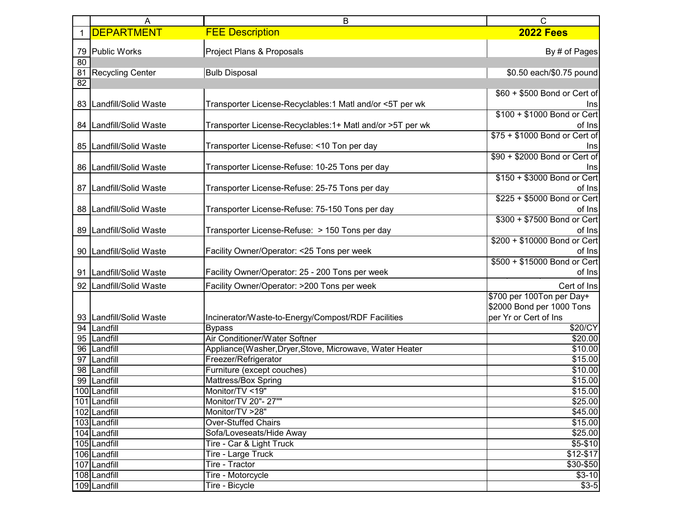|          | A                       | B                                                         | $\mathsf{C}$                                                                    |
|----------|-------------------------|-----------------------------------------------------------|---------------------------------------------------------------------------------|
|          | <b>DEPARTMENT</b>       | <b>FEE Description</b>                                    | <b>2022 Fees</b>                                                                |
| 79       | <b>Public Works</b>     | Project Plans & Proposals                                 | By # of Pages                                                                   |
| 80<br>81 | <b>Recycling Center</b> | <b>Bulb Disposal</b>                                      | \$0.50 each/\$0.75 pound                                                        |
| 82       |                         |                                                           | \$60 + \$500 Bond or Cert of                                                    |
| 83       | Landfill/Solid Waste    | Transporter License-Recyclables:1 Matl and/or <5T per wk  | Ins<br>\$100 + \$1000 Bond or Cert                                              |
| 84       | Landfill/Solid Waste    | Transporter License-Recyclables:1+ Matl and/or >5T per wk | of Ins                                                                          |
| 85       | Landfill/Solid Waste    | Transporter License-Refuse: <10 Ton per day               | \$75 + \$1000 Bond or Cert of<br>Ins                                            |
| 86       | Landfill/Solid Waste    | Transporter License-Refuse: 10-25 Tons per day            | \$90 + \$2000 Bond or Cert of<br>Ins                                            |
| 87       | Landfill/Solid Waste    | Transporter License-Refuse: 25-75 Tons per day            | \$150 + \$3000 Bond or Cert<br>of Ins                                           |
| 88       | Landfill/Solid Waste    | Transporter License-Refuse: 75-150 Tons per day           | \$225 + \$5000 Bond or Cert<br>of Ins                                           |
| 89       | Landfill/Solid Waste    | Transporter License-Refuse: > 150 Tons per day            | \$300 + \$7500 Bond or Cert<br>of Ins                                           |
| 90       | Landfill/Solid Waste    | Facility Owner/Operator: <25 Tons per week                | \$200 + \$10000 Bond or Cert<br>of Ins                                          |
| 91       | Landfill/Solid Waste    | Facility Owner/Operator: 25 - 200 Tons per week           | \$500 + \$15000 Bond or Cert<br>of Ins                                          |
| 92       | Landfill/Solid Waste    | Facility Owner/Operator: >200 Tons per week               | Cert of Ins                                                                     |
| 93       | Landfill/Solid Waste    | Incinerator/Waste-to-Energy/Compost/RDF Facilities        | \$700 per 100Ton per Day+<br>\$2000 Bond per 1000 Tons<br>per Yr or Cert of Ins |
| 94       | Landfill                | <b>Bypass</b>                                             | \$20/CY                                                                         |
| 95       | Landfill                | Air Conditioner/Water Softner                             | $\overline{$}20.00$                                                             |
| 96       | Landfill                | Appliance(Washer, Dryer, Stove, Microwave, Water Heater   | \$10.00                                                                         |
| 97       | Landfill                | Freezer/Refrigerator                                      | \$15.00                                                                         |
| 98       | Landfill                | Furniture (except couches)                                | \$10.00                                                                         |
| 99       | Landfill                | Mattress/Box Spring                                       | \$15.00                                                                         |
|          | 100 Landfill            | Monitor/TV <19"                                           | \$15.00                                                                         |
|          | 101 Landfill            | Monitor/TV 20"- 27""                                      | \$25.00                                                                         |
|          | 102 Landfill            | Monitor/TV >28"                                           | \$45.00                                                                         |
|          | 103 Landfill            | <b>Over-Stuffed Chairs</b>                                | \$15.00                                                                         |
|          | 104 Landfill            | Sofa/Loveseats/Hide Away                                  | \$25.00                                                                         |
|          | 105 Landfill            | Tire - Car & Light Truck                                  | $$5 - $10$                                                                      |
|          | 106 Landfill            | Tire - Large Truck                                        | $$12-$17$                                                                       |
|          | 107 Landfill            | Tire - Tractor                                            | \$30-\$50                                                                       |
|          | 108 Landfill            | Tire - Motorcycle                                         | $$3-10$                                                                         |
|          | 109 Landfill            | Tire - Bicycle                                            | $$3-5$                                                                          |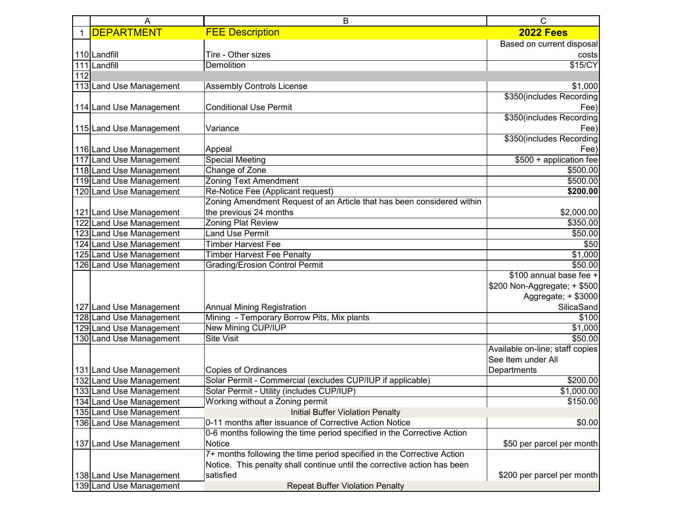|              | Α                       | B                                                                        | С                               |
|--------------|-------------------------|--------------------------------------------------------------------------|---------------------------------|
| $\mathbf{1}$ | <b>DEPARTMENT</b>       | <b>FEE Description</b>                                                   | <b>2022 Fees</b>                |
|              |                         |                                                                          | Based on current disposal       |
|              | 110 Landfill            | Tire - Other sizes                                                       | costs                           |
|              | 111 Landfill            | <b>Demolition</b>                                                        | \$15/CY                         |
| 112          |                         |                                                                          |                                 |
|              | 113 Land Use Management | <b>Assembly Controls License</b>                                         | \$1,000                         |
|              |                         |                                                                          | \$350(includes Recording        |
|              | 114 Land Use Management | <b>Conditional Use Permit</b>                                            | Fee)                            |
|              |                         |                                                                          | \$350(includes Recording        |
|              | 115 Land Use Management | Variance                                                                 | Fee)                            |
|              |                         |                                                                          | \$350(includes Recording        |
|              | 116 Land Use Management | Appeal                                                                   | Fee)                            |
| 117          | Land Use Management     | <b>Special Meeting</b>                                                   | \$500 + application fee         |
|              | 118 Land Use Management | Change of Zone                                                           | \$500.00                        |
|              | 119 Land Use Management | <b>Zoning Text Amendment</b>                                             | \$500.00                        |
|              | 120 Land Use Management | Re-Notice Fee (Applicant request)                                        | \$200.00                        |
|              |                         | Zoning Amendment Request of an Article that has been considered within   |                                 |
|              | 121 Land Use Management | the previous 24 months                                                   | \$2,000.00                      |
| 122          | Land Use Management     | Zoning Plat Review                                                       | \$350.00                        |
|              | 123 Land Use Management | <b>Land Use Permit</b>                                                   | \$50.00                         |
|              | 124 Land Use Management | <b>Timber Harvest Fee</b>                                                | \$50                            |
|              | 125 Land Use Management | <b>Timber Harvest Fee Penalty</b>                                        | \$1,000                         |
|              | 126 Land Use Management | <b>Grading/Erosion Control Permit</b>                                    | \$50.00                         |
|              |                         |                                                                          | \$100 annual base fee +         |
|              |                         |                                                                          | \$200 Non-Aggregate; + \$500    |
|              |                         |                                                                          | Aggregate; + \$3000             |
|              | 127 Land Use Management | <b>Annual Mining Registration</b>                                        | SilicaSand                      |
|              | 128 Land Use Management | Mining - Temporary Borrow Pits, Mix plants                               | \$100                           |
|              | 129 Land Use Management | <b>New Mining CUP/IUP</b>                                                | \$1,000                         |
|              | 130 Land Use Management | <b>Site Visit</b>                                                        | \$50.00                         |
|              |                         |                                                                          | Available on-line; staff copies |
|              |                         |                                                                          | See Item under All              |
|              | 131 Land Use Management | <b>Copies of Ordinances</b>                                              | Departments                     |
|              | 132 Land Use Management | Solar Permit - Commercial (excludes CUP/IUP if applicable)               | \$200.00                        |
|              | 133 Land Use Management | Solar Permit - Utility (includes CUP/IUP)                                | \$1,000.00                      |
|              | 134 Land Use Management | Working without a Zoning permit                                          | \$150.00                        |
|              | 135 Land Use Management | <b>Initial Buffer Violation Penalty</b>                                  |                                 |
|              | 136 Land Use Management | 0-11 months after issuance of Corrective Action Notice                   | \$0.00                          |
|              |                         | 0-6 months following the time period specified in the Corrective Action  |                                 |
|              | 137 Land Use Management | Notice                                                                   | \$50 per parcel per month       |
|              |                         | 7+ months following the time period specified in the Corrective Action   |                                 |
|              |                         | Notice. This penalty shall continue until the corrective action has been |                                 |
|              | 138 Land Use Management | satisfied                                                                | \$200 per parcel per month      |
|              | 139 Land Use Management | <b>Repeat Buffer Violation Penalty</b>                                   |                                 |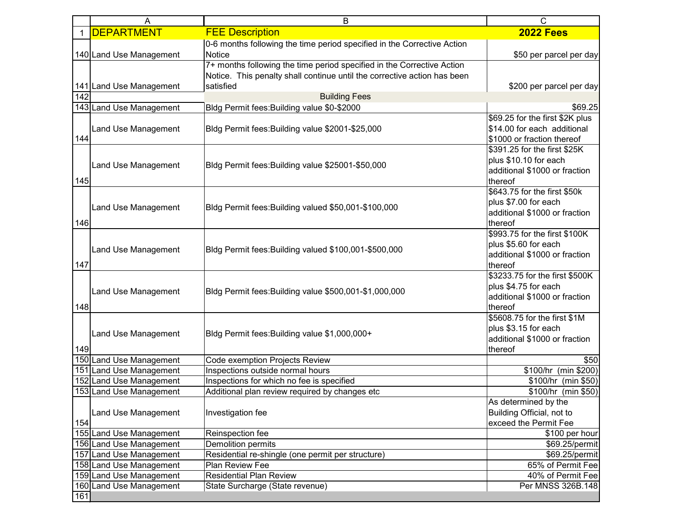|     | A                       | В                                                                                                                                                               | С                                                                                                  |
|-----|-------------------------|-----------------------------------------------------------------------------------------------------------------------------------------------------------------|----------------------------------------------------------------------------------------------------|
|     | <b>DEPARTMENT</b>       | <b>FEE Description</b>                                                                                                                                          | <b>2022 Fees</b>                                                                                   |
|     | 140 Land Use Management | 0-6 months following the time period specified in the Corrective Action<br>Notice                                                                               | \$50 per parcel per day                                                                            |
|     | 141 Land Use Management | 7+ months following the time period specified in the Corrective Action<br>Notice. This penalty shall continue until the corrective action has been<br>satisfied | \$200 per parcel per day                                                                           |
| 142 |                         | <b>Building Fees</b>                                                                                                                                            |                                                                                                    |
|     | 143 Land Use Management | Bldg Permit fees: Building value \$0-\$2000                                                                                                                     | \$69.25                                                                                            |
| 144 | Land Use Management     | Bldg Permit fees: Building value \$2001-\$25,000                                                                                                                | \$69.25 for the first \$2K plus<br>\$14.00 for each additional<br>\$1000 or fraction thereof       |
| 145 | Land Use Management     | Bldg Permit fees: Building value \$25001-\$50,000                                                                                                               | \$391.25 for the first \$25K<br>plus \$10.10 for each<br>additional \$1000 or fraction<br>thereof  |
| 146 | Land Use Management     | Bldg Permit fees: Building valued \$50,001-\$100,000                                                                                                            | \$643.75 for the first \$50k<br>plus \$7.00 for each<br>additional \$1000 or fraction<br>thereof   |
| 147 | Land Use Management     | Bldg Permit fees: Building valued \$100,001-\$500,000                                                                                                           | \$993.75 for the first \$100K<br>plus \$5.60 for each<br>additional \$1000 or fraction<br>thereof  |
| 148 | Land Use Management     | Bldg Permit fees: Building value \$500,001-\$1,000,000                                                                                                          | \$3233.75 for the first \$500K<br>plus \$4.75 for each<br>additional \$1000 or fraction<br>thereof |
| 149 | Land Use Management     | Bldg Permit fees: Building value \$1,000,000+                                                                                                                   | \$5608.75 for the first \$1M<br>plus \$3.15 for each<br>additional \$1000 or fraction<br>thereof   |
|     | 150 Land Use Management | Code exemption Projects Review                                                                                                                                  | \$50                                                                                               |
|     | 151 Land Use Management | Inspections outside normal hours                                                                                                                                | \$100/hr (min \$200)                                                                               |
|     | 152 Land Use Management | Inspections for which no fee is specified                                                                                                                       | \$100/hr (min \$50)                                                                                |
|     | 153 Land Use Management | Additional plan review required by changes etc                                                                                                                  | \$100/hr (min \$50)                                                                                |
| 154 | Land Use Management     | Investigation fee                                                                                                                                               | As determined by the<br>Building Official, not to<br>exceed the Permit Fee                         |
|     | 155 Land Use Management | Reinspection fee                                                                                                                                                | \$100 per hour                                                                                     |
|     | 156 Land Use Management | Demolition permits                                                                                                                                              | \$69.25/permit                                                                                     |
|     | 157 Land Use Management | Residential re-shingle (one permit per structure)                                                                                                               | \$69.25/permit                                                                                     |
|     | 158 Land Use Management | Plan Review Fee                                                                                                                                                 | 65% of Permit Fee                                                                                  |
|     | 159 Land Use Management | <b>Residential Plan Review</b>                                                                                                                                  | 40% of Permit Fee                                                                                  |
| 161 | 160 Land Use Management | State Surcharge (State revenue)                                                                                                                                 | Per MNSS 326B.148                                                                                  |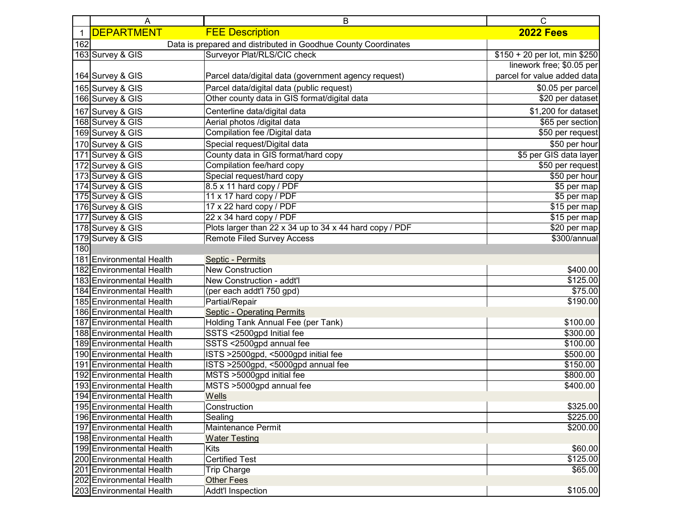|     | A                           | B                                                              | С                             |
|-----|-----------------------------|----------------------------------------------------------------|-------------------------------|
|     | <b>DEPARTMENT</b>           | <b>FEE Description</b>                                         | <b>2022 Fees</b>              |
| 162 |                             | Data is prepared and distributed in Goodhue County Coordinates |                               |
|     | 163 Survey & GIS            | Surveyor Plat/RLS/CIC check                                    | \$150 + 20 per lot, min \$250 |
|     |                             |                                                                | linework free; \$0.05 per     |
|     | 164 Survey & GIS            | Parcel data/digital data (government agency request)           | parcel for value added data   |
|     | 165 Survey & GIS            | Parcel data/digital data (public request)                      | \$0.05 per parcel             |
|     | 166 Survey & GIS            | Other county data in GIS format/digital data                   | \$20 per dataset              |
|     | 167 Survey & GIS            | Centerline data/digital data                                   | \$1,200 for dataset           |
|     | 168 Survey & GIS            | Aerial photos /digital data                                    | \$65 per section              |
|     | 169 Survey & GIS            | Compilation fee /Digital data                                  | $$50$ per request             |
|     | 170 Survey & GIS            | Special request/Digital data                                   | \$50 per hour                 |
| 171 | Survey & GIS                | County data in GIS format/hard copy                            | \$5 per GIS data layer        |
| 172 | Survey & GIS                | Compilation fee/hard copy                                      | \$50 per request              |
|     | 173 Survey & GIS            | Special request/hard copy                                      | \$50 per hour                 |
|     | 174 Survey & GIS            | 8.5 x 11 hard copy / PDF                                       | \$5 per map                   |
|     | 175 Survey & GIS            | 11 x 17 hard copy / PDF                                        | \$5 per map                   |
|     | 176 Survey & GIS            | 17 x 22 hard copy / PDF                                        | \$15 per map                  |
|     | 177 Survey & GIS            | 22 x 34 hard copy / PDF                                        | \$15 per map                  |
|     | 178 Survey & GIS            | Plots larger than 22 x 34 up to 34 x 44 hard copy / PDF        | \$20 per map                  |
|     | 179 Survey & GIS            | <b>Remote Filed Survey Access</b>                              | \$300/annual                  |
| 180 |                             |                                                                |                               |
| 181 | <b>Environmental Health</b> | Septic - Permits                                               |                               |
|     | 182 Environmental Health    | <b>New Construction</b>                                        | \$400.00                      |
|     | 183 Environmental Health    | New Construction - addt'l                                      | \$125.00                      |
|     | 184 Environmental Health    | (per each addt'l 750 gpd)                                      | \$75.00                       |
|     | 185 Environmental Health    | Partial/Repair                                                 | \$190.00                      |
|     | 186 Environmental Health    | <b>Septic - Operating Permits</b>                              |                               |
| 187 | <b>Environmental Health</b> | Holding Tank Annual Fee (per Tank)                             | \$100.00                      |
|     | 188 Environmental Health    | SSTS <2500gpd Initial fee                                      | \$300.00                      |
|     | 189 Environmental Health    | SSTS <2500gpd annual fee                                       | \$100.00                      |
|     | 190 Environmental Health    | ISTS >2500gpd, <5000gpd initial fee                            | \$500.00                      |
|     | 191 Environmental Health    | ISTS >2500gpd, <5000gpd annual fee                             | \$150.00                      |
|     | 192 Environmental Health    | MSTS >5000gpd initial fee                                      | \$800.00                      |
|     | 193 Environmental Health    | MSTS >5000gpd annual fee                                       | \$400.00                      |
|     | 194 Environmental Health    | Wells                                                          |                               |
|     | 195 Environmental Health    | Construction                                                   | \$325.00                      |
|     | 196 Environmental Health    | Sealing                                                        | \$225.00                      |
|     | 197 Environmental Health    | Maintenance Permit                                             | \$200.00                      |
|     | 198 Environmental Health    | <b>Water Testing</b>                                           |                               |
|     | 199 Environmental Health    | Kits                                                           | \$60.00                       |
|     | 200 Environmental Health    | <b>Certified Test</b>                                          | \$125.00                      |
| 201 | <b>Environmental Health</b> | <b>Trip Charge</b>                                             | \$65.00                       |
|     | 202 Environmental Health    | Other Fees                                                     |                               |
|     | 203 Environmental Health    | Addt'l Inspection                                              | \$105.00                      |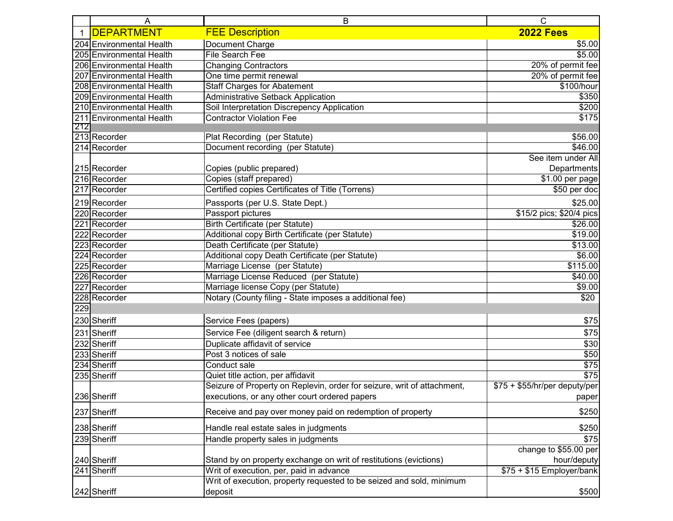|              | A                        | B                                                                       | $\mathsf{C}$                  |
|--------------|--------------------------|-------------------------------------------------------------------------|-------------------------------|
| $\mathbf{1}$ | <b>DEPARTMENT</b>        | <b>FEE Description</b>                                                  | <b>2022 Fees</b>              |
|              | 204 Environmental Health | Document Charge                                                         | \$5.00                        |
|              | 205 Environmental Health | File Search Fee                                                         | \$5.00                        |
|              | 206 Environmental Health | <b>Changing Contractors</b>                                             | 20% of permit fee             |
|              | 207 Environmental Health | One time permit renewal                                                 | 20% of permit fee             |
|              | 208 Environmental Health | <b>Staff Charges for Abatement</b>                                      | \$100/hour                    |
|              | 209 Environmental Health | <b>Administrative Setback Application</b>                               | \$350                         |
|              | 210 Environmental Health | Soil Interpretation Discrepency Application                             | \$200                         |
|              | 211 Environmental Health | <b>Contractor Violation Fee</b>                                         | \$175                         |
| 212          |                          |                                                                         |                               |
|              | 213 Recorder             | Plat Recording (per Statute)                                            | \$56.00                       |
|              | 214 Recorder             | Document recording (per Statute)                                        | \$46.00                       |
|              |                          |                                                                         | See item under All            |
|              | 215 Recorder             | Copies (public prepared)                                                | Departments                   |
|              | 216 Recorder             | Copies (staff prepared)                                                 | \$1.00 per page               |
|              | 217 Recorder             | Certified copies Certificates of Title (Torrens)                        | \$50 per doc                  |
|              | 219 Recorder             | Passports (per U.S. State Dept.)                                        | \$25.00                       |
|              | 220 Recorder             | Passport pictures                                                       | \$15/2 pics; \$20/4 pics      |
|              | 221 Recorder             | <b>Birth Certificate (per Statute)</b>                                  | \$26.00                       |
|              | 222 Recorder             | Additional copy Birth Certificate (per Statute)                         | \$19.00                       |
|              | 223 Recorder             | Death Certificate (per Statute)                                         | \$13.00                       |
|              | 224 Recorder             | Additional copy Death Certificate (per Statute)                         | \$6.00                        |
|              | 225 Recorder             | Marriage License (per Statute)                                          | \$115.00                      |
|              | 226 Recorder             | Marriage License Reduced (per Statute)                                  | \$40.00                       |
|              | 227 Recorder             | Marriage license Copy (per Statute)                                     | \$9.00                        |
|              | 228 Recorder             | Notary (County filing - State imposes a additional fee)                 | \$20                          |
| 229          |                          |                                                                         |                               |
|              | 230 Sheriff              | Service Fees (papers)                                                   | \$75                          |
|              | 231 Sheriff              | Service Fee (diligent search & return)                                  | \$75                          |
|              | 232 Sheriff              | Duplicate affidavit of service                                          | \$30                          |
|              | 233 Sheriff              | Post 3 notices of sale                                                  | \$50                          |
|              | 234 Sheriff              | Conduct sale                                                            | \$75                          |
|              | 235 Sheriff              | Quiet title action, per affidavit                                       | \$75                          |
|              |                          | Seizure of Property on Replevin, order for seizure, writ of attachment, | $$75 + $55/hr/per$ deputy/per |
|              | 236 Sheriff              | executions, or any other court ordered papers                           | paper                         |
|              | 237 Sheriff              | Receive and pay over money paid on redemption of property               | \$250                         |
|              |                          |                                                                         |                               |
|              | 238 Sheriff              | Handle real estate sales in judgments                                   | \$250                         |
|              | 239 Sheriff              | Handle property sales in judgments                                      | \$75                          |
|              |                          |                                                                         | change to \$55.00 per         |
|              | 240 Sheriff              | Stand by on property exchange on writ of restitutions (evictions)       | hour/deputy                   |
|              | 241 Sheriff              | Writ of execution, per, paid in advance                                 | $$75 + $15$ Employer/bank     |
|              |                          | Writ of execution, property requested to be seized and sold, minimum    |                               |
|              | 242 Sheriff              | deposit                                                                 | \$500                         |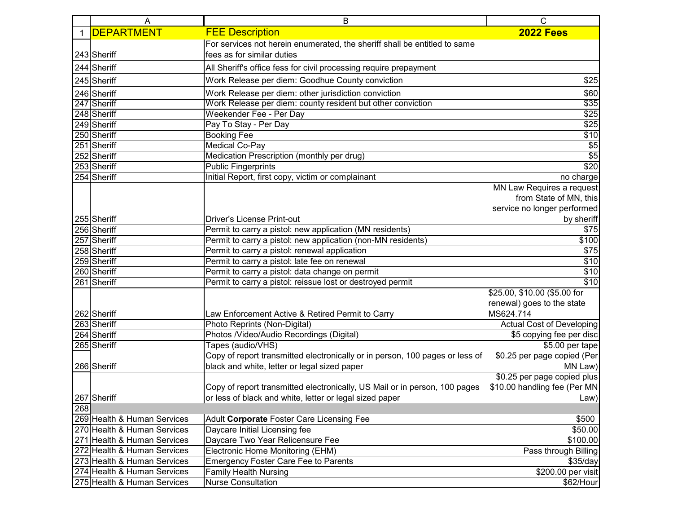|     | A                           | B                                                                            | С                            |
|-----|-----------------------------|------------------------------------------------------------------------------|------------------------------|
|     | <b>DEPARTMENT</b>           | <b>FEE Description</b>                                                       | <b>2022 Fees</b>             |
|     |                             | For services not herein enumerated, the sheriff shall be entitled to same    |                              |
|     | 243 Sheriff                 | fees as for similar duties                                                   |                              |
|     | 244 Sheriff                 | All Sheriff's office fess for civil processing require prepayment            |                              |
|     | 245 Sheriff                 | Work Release per diem: Goodhue County conviction                             | \$25                         |
|     | 246 Sheriff                 | Work Release per diem: other jurisdiction conviction                         | \$60                         |
|     | 247 Sheriff                 | Work Release per diem: county resident but other conviction                  | \$35                         |
|     | 248 Sheriff                 | Weekender Fee - Per Day                                                      | $\overline{$25}$             |
|     | 249 Sheriff                 | Pay To Stay - Per Day                                                        | \$25                         |
|     | 250 Sheriff                 | <b>Booking Fee</b>                                                           | \$10                         |
|     | 251 Sheriff                 | Medical Co-Pay                                                               | $\overline{$}$               |
|     | 252 Sheriff                 | Medication Prescription (monthly per drug)                                   | $\overline{$}5$              |
|     | 253 Sheriff                 | <b>Public Fingerprints</b>                                                   | $\sqrt{$20}$                 |
|     | 254 Sheriff                 | Initial Report, first copy, victim or complainant                            | no charge                    |
|     |                             |                                                                              | MN Law Requires a request    |
|     |                             |                                                                              | from State of MN, this       |
|     |                             |                                                                              | service no longer performed  |
|     | 255 Sheriff                 | <b>Driver's License Print-out</b>                                            | by sheriff                   |
|     | 256 Sheriff                 | Permit to carry a pistol: new application (MN residents)                     | \$75                         |
|     | 257 Sheriff                 | Permit to carry a pistol: new application (non-MN residents)                 | \$100                        |
|     | 258 Sheriff                 | Permit to carry a pistol: renewal application                                | \$75                         |
|     | 259 Sheriff                 | Permit to carry a pistol: late fee on renewal                                | \$10                         |
|     | 260 Sheriff                 | Permit to carry a pistol: data change on permit                              | \$10                         |
|     | 261 Sheriff                 | Permit to carry a pistol: reissue lost or destroyed permit                   | $\overline{$10}$             |
|     |                             |                                                                              | \$25.00, \$10.00 (\$5.00 for |
|     |                             |                                                                              | renewal) goes to the state   |
|     | 262 Sheriff                 | Law Enforcement Active & Retired Permit to Carry                             | MS624.714                    |
|     | 263 Sheriff                 | Photo Reprints (Non-Digital)                                                 | Actual Cost of Developing    |
|     | 264 Sheriff                 | Photos /Video/Audio Recordings (Digital)                                     | \$5 copying fee per disc     |
|     | 265 Sheriff                 | Tapes (audio/VHS)                                                            | $$5.00$ per tape             |
|     |                             | Copy of report transmitted electronically or in person, 100 pages or less of | \$0.25 per page copied (Per  |
|     | 266 Sheriff                 | black and white, letter or legal sized paper                                 | MN Law)                      |
|     |                             |                                                                              | \$0.25 per page copied plus  |
|     |                             | Copy of report transmitted electronically, US Mail or in person, 100 pages   | \$10.00 handling fee (Per MN |
|     | 267 Sheriff                 | or less of black and white, letter or legal sized paper                      | <b>Example 12</b> Law)       |
| 268 |                             |                                                                              |                              |
|     | 269 Health & Human Services | Adult Corporate Foster Care Licensing Fee                                    | \$500                        |
|     | 270 Health & Human Services | Daycare Initial Licensing fee                                                | \$50.00                      |
| 271 | Health & Human Services     | Daycare Two Year Relicensure Fee                                             | \$100.00                     |
|     | 272 Health & Human Services | Electronic Home Monitoring (EHM)                                             | Pass through Billing         |
|     | 273 Health & Human Services | <b>Emergency Foster Care Fee to Parents</b>                                  | \$35/day                     |
|     | 274 Health & Human Services | <b>Family Health Nursing</b>                                                 | \$200.00 per visit           |
|     | 275 Health & Human Services | <b>Nurse Consultation</b>                                                    | \$62/Hour                    |